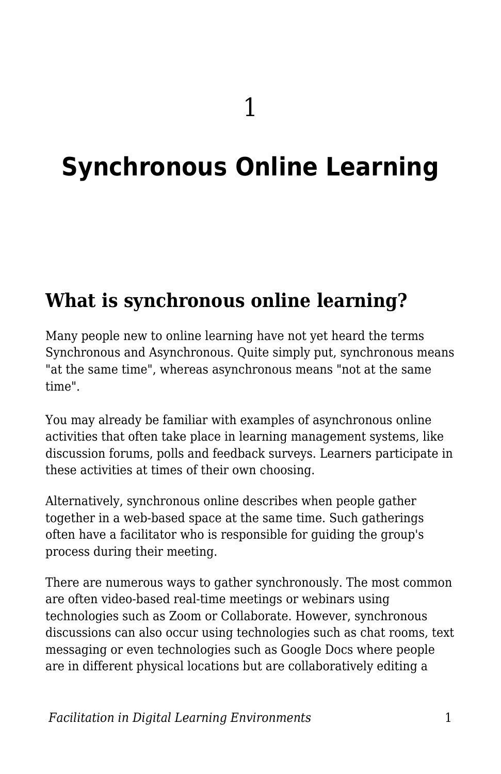# **Synchronous Online Learning**

#### **What is synchronous online learning?**

Many people new to online learning have not yet heard the terms Synchronous and Asynchronous. Quite simply put, synchronous means "at the same time", whereas asynchronous means "not at the same time".

You may already be familiar with examples of asynchronous online activities that often take place in learning management systems, like discussion forums, polls and feedback surveys. Learners participate in these activities at times of their own choosing.

Alternatively, synchronous online describes when people gather together in a web-based space at the same time. Such gatherings often have a facilitator who is responsible for guiding the group's process during their meeting.

There are numerous ways to gather synchronously. The most common are often video-based real-time meetings or webinars using technologies such as Zoom or Collaborate. However, synchronous discussions can also occur using technologies such as chat rooms, text messaging or even technologies such as Google Docs where people are in different physical locations but are collaboratively editing a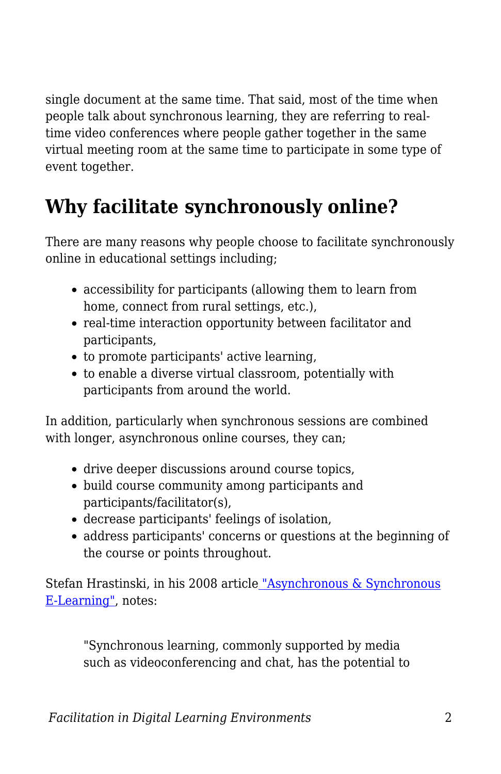single document at the same time. That said, most of the time when people talk about synchronous learning, they are referring to realtime video conferences where people gather together in the same virtual meeting room at the same time to participate in some type of event together.

## **Why facilitate synchronously online?**

There are many reasons why people choose to facilitate synchronously online in educational settings including;

- accessibility for participants (allowing them to learn from home, connect from rural settings, etc.),
- real-time interaction opportunity between facilitator and participants,
- to promote participants' active learning,
- to enable a diverse virtual classroom, potentially with participants from around the world.

In addition, particularly when synchronous sessions are combined with longer, asynchronous online courses, they can;

- drive deeper discussions around course topics,
- build course community among participants and participants/facilitator(s),
- decrease participants' feelings of isolation,
- address participants' concerns or questions at the beginning of the course or points throughout.

Stefan Hrastinski, in his 2008 articl[e](https://er.educause.edu/articles/2008/11/asynchronous-and-synchronous-elearning) ["Asynchronous & Synchronous](https://er.educause.edu/articles/2008/11/asynchronous-and-synchronous-elearning) [E-Learning",](https://er.educause.edu/articles/2008/11/asynchronous-and-synchronous-elearning) notes:

"Synchronous learning, commonly supported by media such as videoconferencing and chat, has the potential to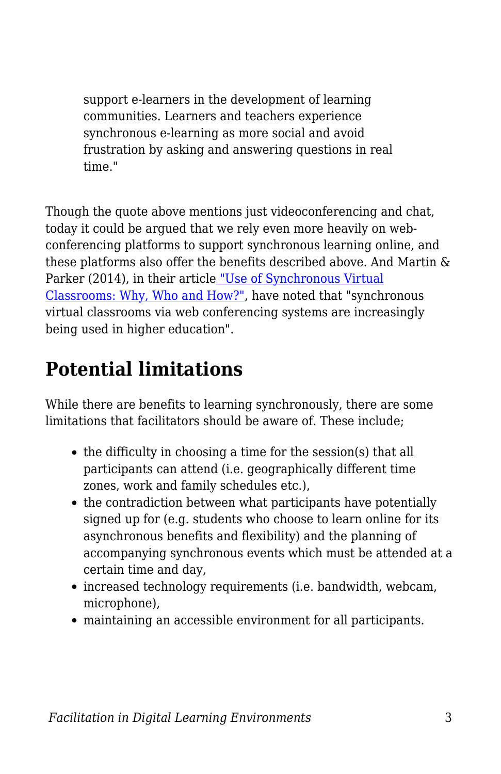support e-learners in the development of learning communities. Learners and teachers experience synchronous e-learning as more social and avoid frustration by asking and answering questions in real time."

Though the quote above mentions just videoconferencing and chat, today it could be argued that we rely even more heavily on webconferencing platforms to support synchronous learning online, and these platforms also offer the benefits described above. And Martin & Parker (2014), in their article ["Use of Synchronous Virtual](https://www.researchgate.net/profile/Florence_Martin4/publication/265335172_Use_of_Synchronous_Virtual_Classrooms_Why_Who_and_How_MERLOT_Journal_of_Online_Learning_and_Teaching_10_2_192-210/links/5408a12d0cf2822fb7354c1f.pdf) [Classrooms: Why, Who and How?"](https://www.researchgate.net/profile/Florence_Martin4/publication/265335172_Use_of_Synchronous_Virtual_Classrooms_Why_Who_and_How_MERLOT_Journal_of_Online_Learning_and_Teaching_10_2_192-210/links/5408a12d0cf2822fb7354c1f.pdf), have noted that "synchronous virtual classrooms via web conferencing systems are increasingly being used in higher education".

#### **Potential limitations**

While there are benefits to learning synchronously, there are some limitations that facilitators should be aware of. These include;

- the difficulty in choosing a time for the session(s) that all participants can attend (i.e. geographically different time zones, work and family schedules etc.),
- the contradiction between what participants have potentially signed up for (e.g. students who choose to learn online for its asynchronous benefits and flexibility) and the planning of accompanying synchronous events which must be attended at a certain time and day,
- increased technology requirements (i.e. bandwidth, webcam, microphone),
- maintaining an accessible environment for all participants.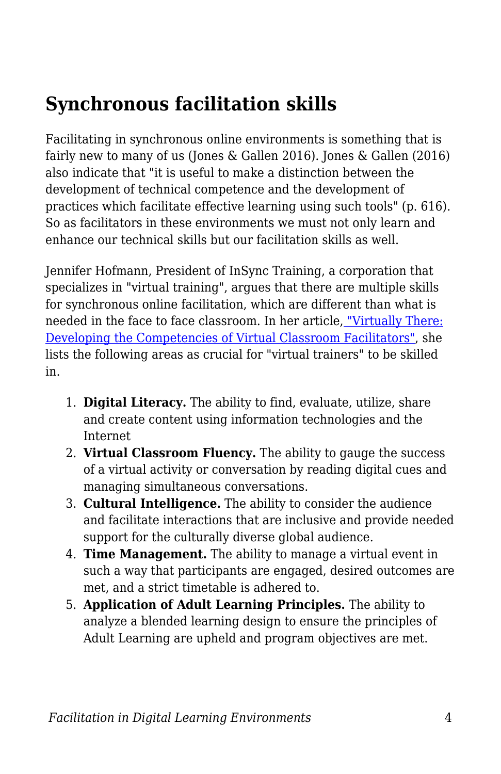## **Synchronous facilitation skills**

Facilitating in synchronous online environments is something that is fairly new to many of us (Jones & Gallen 2016). Jones & Gallen (2016) also indicate that "it is useful to make a distinction between the development of technical competence and the development of practices which facilitate effective learning using such tools" (p. 616). So as facilitators in these environments we must not only learn and enhance our technical skills but our facilitation skills as well.

Jennifer Hofmann, President of InSync Training, a corporation that specializes in "virtual training", argues that there are multiple skills for synchronous online facilitation, which are different than what is needed in the face to face classroom. In her article, ["Virtually There:](https://trainingmag.com/virtually-there-developing-competencies-virtual-classroom-facilitators) [Developing the Competencies of Virtual Classroom Facilitators"](https://trainingmag.com/virtually-there-developing-competencies-virtual-classroom-facilitators), she lists the following areas as crucial for "virtual trainers" to be skilled in.

- 1. **Digital Literacy.** The ability to find, evaluate, utilize, share and create content using information technologies and the Internet
- 2. **Virtual Classroom Fluency.** The ability to gauge the success of a virtual activity or conversation by reading digital cues and managing simultaneous conversations.
- 3. **Cultural Intelligence.** The ability to consider the audience and facilitate interactions that are inclusive and provide needed support for the culturally diverse global audience.
- 4. **Time Management.** The ability to manage a virtual event in such a way that participants are engaged, desired outcomes are met, and a strict timetable is adhered to.
- 5. **Application of Adult Learning Principles.** The ability to analyze a blended learning design to ensure the principles of Adult Learning are upheld and program objectives are met.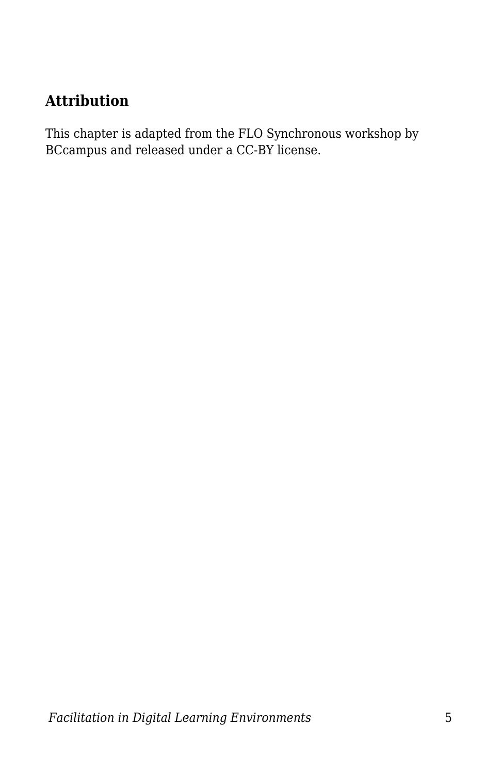#### **Attribution**

This chapter is adapted from the FLO Synchronous workshop by BCcampus and released under a CC-BY license.